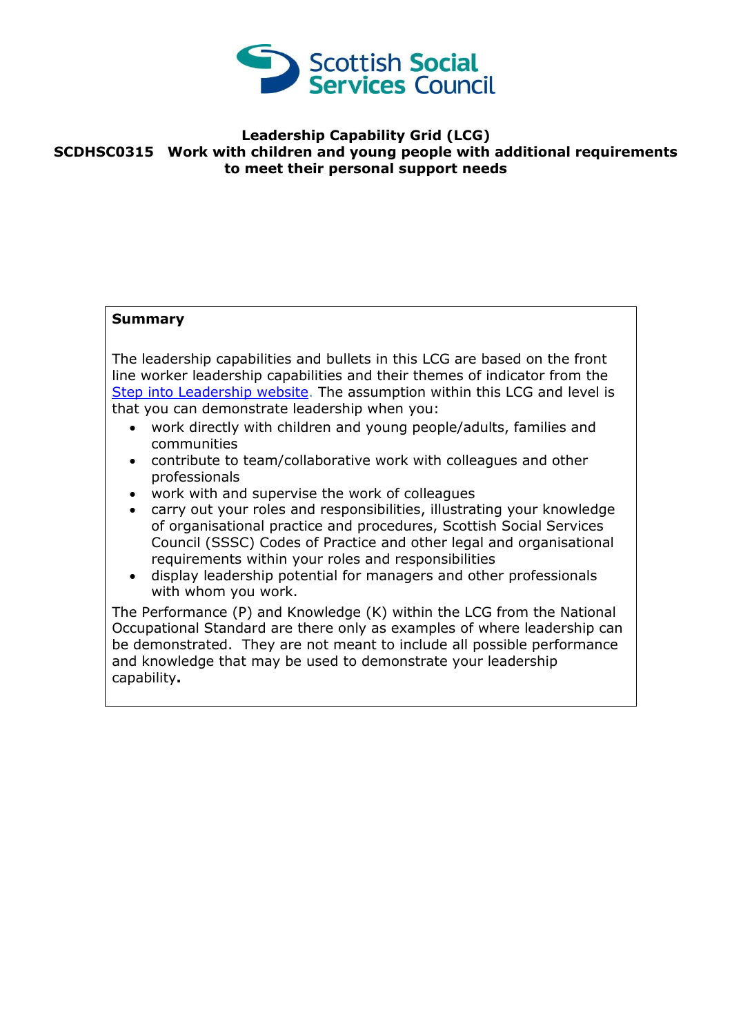

## **Leadership Capability Grid (LCG) SCDHSC0315 Work with children and young people with additional requirements to meet their personal support needs**

## **Summary**

The leadership capabilities and bullets in this LCG are based on the front line worker leadership capabilities and their themes of indicator from the [Step into Leadership website.](http://www.stepintoleadership.info/) The assumption within this LCG and level is that you can demonstrate leadership when you:

- work directly with children and young people/adults, families and communities
- contribute to team/collaborative work with colleagues and other professionals
- work with and supervise the work of colleagues
- carry out your roles and responsibilities, illustrating your knowledge of organisational practice and procedures, Scottish Social Services Council (SSSC) Codes of Practice and other legal and organisational requirements within your roles and responsibilities
- display leadership potential for managers and other professionals with whom you work.

The Performance (P) and Knowledge (K) within the LCG from the National Occupational Standard are there only as examples of where leadership can be demonstrated. They are not meant to include all possible performance and knowledge that may be used to demonstrate your leadership capability**.**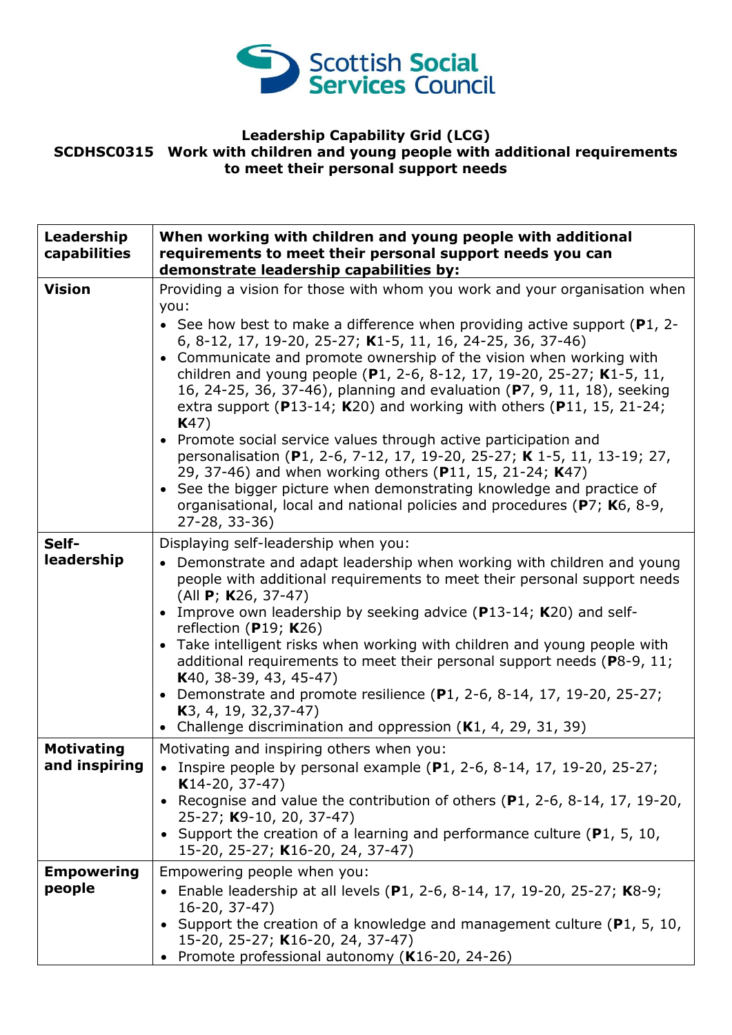

## **Leadership Capability Grid (LCG) SCDHSC0315 Work with children and young people with additional requirements to meet their personal support needs**

| Leadership<br>capabilities         | When working with children and young people with additional<br>requirements to meet their personal support needs you can<br>demonstrate leadership capabilities by:                                                                                                                                                                                                                                                                                                                                                                                                                                                                                                                                                                                                                                                                                                                                                                        |
|------------------------------------|--------------------------------------------------------------------------------------------------------------------------------------------------------------------------------------------------------------------------------------------------------------------------------------------------------------------------------------------------------------------------------------------------------------------------------------------------------------------------------------------------------------------------------------------------------------------------------------------------------------------------------------------------------------------------------------------------------------------------------------------------------------------------------------------------------------------------------------------------------------------------------------------------------------------------------------------|
| <b>Vision</b>                      | Providing a vision for those with whom you work and your organisation when<br>you:<br>• See how best to make a difference when providing active support ( $P1$ , 2-<br>6, 8-12, 17, 19-20, 25-27; K1-5, 11, 16, 24-25, 36, 37-46)<br>• Communicate and promote ownership of the vision when working with<br>children and young people (P1, 2-6, 8-12, 17, 19-20, 25-27; K1-5, 11,<br>16, 24-25, 36, 37-46), planning and evaluation (P7, 9, 11, 18), seeking<br>extra support ( $P13-14$ ; K20) and working with others ( $P11$ , 15, 21-24;<br>K47)<br>• Promote social service values through active participation and<br>personalisation (P1, 2-6, 7-12, 17, 19-20, 25-27; K 1-5, 11, 13-19; 27,<br>29, 37-46) and when working others (P11, 15, 21-24; K47)<br>• See the bigger picture when demonstrating knowledge and practice of<br>organisational, local and national policies and procedures (P7; K6, 8-9,<br>$27 - 28, 33 - 36$ |
| Self-<br>leadership                | Displaying self-leadership when you:<br>• Demonstrate and adapt leadership when working with children and young<br>people with additional requirements to meet their personal support needs<br>(All <b>P</b> ; <b>K</b> 26, 37-47)<br>• Improve own leadership by seeking advice ( $P13-14$ ; K20) and self-<br>reflection ( $P19$ ; K26)<br>• Take intelligent risks when working with children and young people with<br>additional requirements to meet their personal support needs (P8-9, 11;<br>$K40, 38-39, 43, 45-47)$<br>• Demonstrate and promote resilience (P1, 2-6, 8-14, 17, 19-20, 25-27;<br>$K3, 4, 19, 32, 37-47$<br>• Challenge discrimination and oppression $(K1, 4, 29, 31, 39)$                                                                                                                                                                                                                                       |
| <b>Motivating</b><br>and inspiring | Motivating and inspiring others when you:<br>• Inspire people by personal example $(P1, 2-6, 8-14, 17, 19-20, 25-27;$<br>$K14-20, 37-47)$<br>Recognise and value the contribution of others $(P1, 2-6, 8-14, 17, 19-20,$<br>25-27; K9-10, 20, 37-47)<br>• Support the creation of a learning and performance culture ( $P1$ , 5, 10,<br>15-20, 25-27; K16-20, 24, 37-47)                                                                                                                                                                                                                                                                                                                                                                                                                                                                                                                                                                   |
| <b>Empowering</b><br>people        | Empowering people when you:<br>Enable leadership at all levels (P1, 2-6, 8-14, 17, 19-20, 25-27; K8-9;<br>16-20, 37-47)<br>Support the creation of a knowledge and management culture ( $P1$ , 5, 10,<br>15-20, 25-27; K16-20, 24, 37-47)<br>Promote professional autonomy (K16-20, 24-26)                                                                                                                                                                                                                                                                                                                                                                                                                                                                                                                                                                                                                                                 |